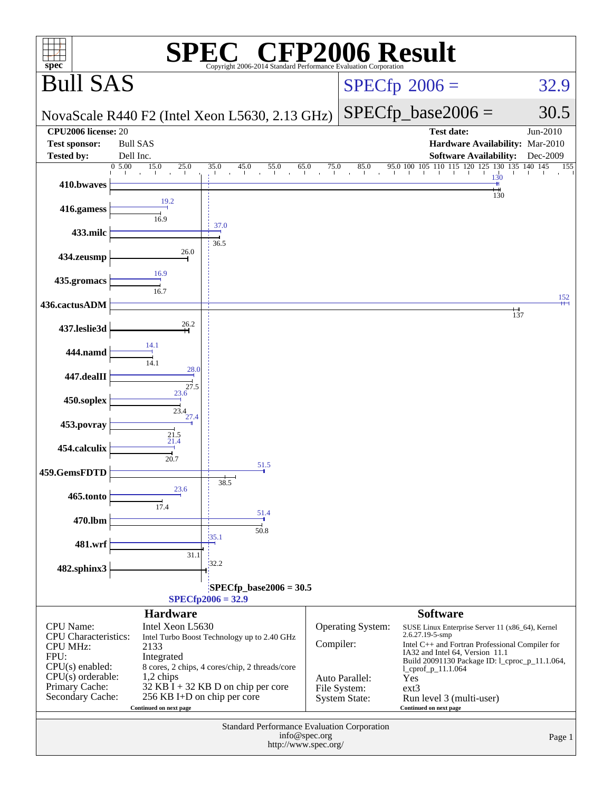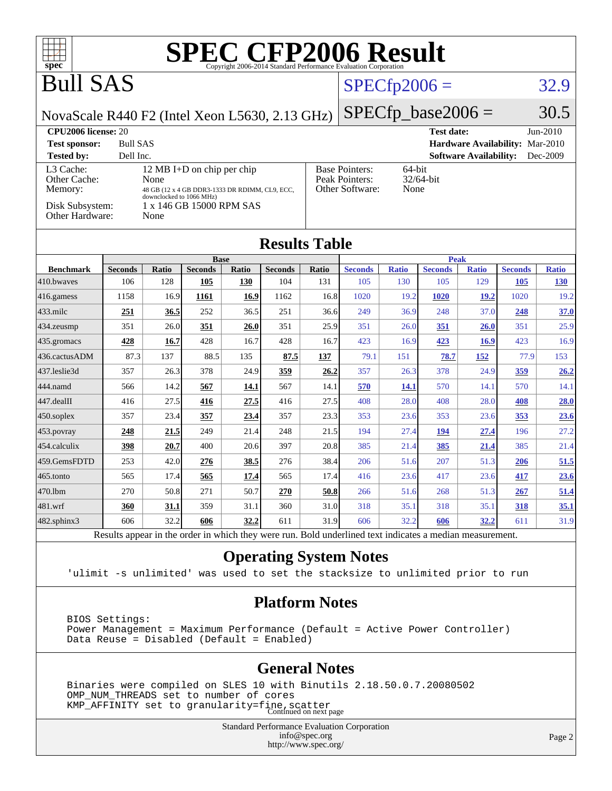| <b>SPEC CFP2006 Result</b><br>$spec^{\circ}$<br>Copyright 2006-2014 Standard Performance Evaluation Corporation |                       |                     |                                                |                     |                       |              |                                                                |                     |                       |                                 |                       |                            |
|-----------------------------------------------------------------------------------------------------------------|-----------------------|---------------------|------------------------------------------------|---------------------|-----------------------|--------------|----------------------------------------------------------------|---------------------|-----------------------|---------------------------------|-----------------------|----------------------------|
| <b>Bull SAS</b>                                                                                                 |                       |                     |                                                |                     |                       |              | $SPECfp2006 =$                                                 |                     |                       |                                 | 32.9                  |                            |
| NovaScale R440 F2 (Intel Xeon L5630, 2.13 GHz)                                                                  |                       |                     |                                                |                     |                       |              |                                                                |                     | $SPECfp\_base2006 =$  |                                 |                       | 30.5                       |
| CPU <sub>2006</sub> license: 20                                                                                 |                       |                     |                                                |                     |                       |              |                                                                |                     | <b>Test date:</b>     |                                 |                       | Jun-2010                   |
| <b>Bull SAS</b><br><b>Test sponsor:</b>                                                                         |                       |                     |                                                |                     |                       |              |                                                                |                     |                       | Hardware Availability: Mar-2010 |                       |                            |
| <b>Tested by:</b><br>Dell Inc.<br><b>Software Availability:</b><br>Dec-2009                                     |                       |                     |                                                |                     |                       |              |                                                                |                     |                       |                                 |                       |                            |
| L3 Cache:<br>Other Cache:                                                                                       |                       | None                | 12 MB I+D on chip per chip                     |                     |                       |              | <b>Base Pointers:</b><br>64-bit<br>32/64-bit<br>Peak Pointers: |                     |                       |                                 |                       |                            |
| Memory:                                                                                                         |                       |                     | 48 GB (12 x 4 GB DDR3-1333 DR RDIMM, CL9, ECC, |                     |                       |              | Other Software:<br>None                                        |                     |                       |                                 |                       |                            |
| downclocked to 1066 MHz)<br>Disk Subsystem:<br>1 x 146 GB 15000 RPM SAS<br>Other Hardware:<br>None              |                       |                     |                                                |                     |                       |              |                                                                |                     |                       |                                 |                       |                            |
| <b>Results Table</b>                                                                                            |                       |                     |                                                |                     |                       |              |                                                                |                     |                       |                                 |                       |                            |
|                                                                                                                 |                       |                     | <b>Base</b>                                    |                     |                       |              |                                                                |                     | <b>Peak</b>           |                                 |                       |                            |
| <b>Benchmark</b><br>410.bwaves                                                                                  | <b>Seconds</b><br>106 | <b>Ratio</b><br>128 | <b>Seconds</b><br>105                          | <b>Ratio</b><br>130 | <b>Seconds</b><br>104 | Ratio<br>131 | <b>Seconds</b><br>105                                          | <b>Ratio</b><br>130 | <b>Seconds</b><br>105 | <b>Ratio</b><br>129             | <b>Seconds</b><br>105 | <b>Ratio</b><br><b>130</b> |
| 416.gamess                                                                                                      | 1158                  | 16.9                | 1161                                           | 16.9                | 1162                  | 16.8         | 1020                                                           | 19.2                | 1020                  | 19.2                            | 1020                  | 19.2                       |
| 433.milc                                                                                                        | <u>251</u>            | 36.5                | 252                                            | 36.5                | 251                   | 36.6         | 249                                                            | 36.9                | 248                   | 37.0                            | 248                   | 37.0                       |
| 434.zeusmp                                                                                                      | 351                   | 26.0                | 351                                            | 26.0                | 351                   | 25.9         | 351                                                            | 26.0                | 351                   | 26.0                            | 351                   | 25.9                       |
| 435.gromacs                                                                                                     | 428                   | 16.7                | 428                                            | 16.7                | 428                   | 16.7         | 423                                                            | 16.9                | 423                   | 16.9                            | 423                   | 16.9                       |
| 436.cactusADM                                                                                                   | 87.3                  | 137                 | 88.5                                           | 135                 | 87.5                  | 137          | 79.1                                                           | 151                 | 78.7                  | <u>152</u>                      | 77.9                  | 153                        |
| 437.leslie3d                                                                                                    | 357                   | 26.3                | 378                                            | 24.9                | 359                   | 26.2         | 357                                                            | 26.3                | 378                   | 24.9                            | 359                   | 26.2                       |
| 444.namd                                                                                                        | 566                   | 14.2                | 567                                            | 14.1                | 567                   | 14.1         | 570                                                            | <b>14.1</b>         | 570                   | 14.1                            | 570                   | 14.1                       |
| 447.dealII                                                                                                      | 416                   | 27.5                | 416                                            | 27.5                | 416                   | 27.5         | 408                                                            | 28.0                | 408                   | 28.0                            | 408                   | 28.0                       |
| 450.soplex                                                                                                      | 357                   | 23.4                | 357                                            | 23.4                | 357                   | 23.3         | 353                                                            | 23.6                | 353                   | 23.6                            | 353                   | 23.6                       |
| 453.povray                                                                                                      | 248                   | 21.5                | 249                                            | 21.4                | 248                   | 21.5         | 194                                                            | 27.4                | 194                   | 27.4                            | 196                   | 27.2                       |
| 454.calculix                                                                                                    | 398                   | 20.7                | 400                                            | 20.6                | 397                   | 20.8         | 385                                                            | 21.4                | 385                   | 21.4                            | 385                   | 21.4                       |
| 459.GemsFDTD                                                                                                    | 253                   | 42.0                | 276                                            | 38.5                | 276                   | 38.4         | 206                                                            | 51.6                | 207                   | 51.3                            | <b>206</b>            | 51.5                       |
| 465.tonto                                                                                                       | 565                   | 17.4                | 565                                            | 17.4                | 565                   | 17.4         | 416                                                            | 23.6                | 417                   | 23.6                            | 417                   | 23.6                       |
| 470.1bm                                                                                                         | 270                   | 50.8                | 271                                            | 50.7                | 270                   | 50.8         | 266                                                            | 51.6                | 268                   | 51.3                            | 267                   | 51.4                       |
| $481$ .wrf                                                                                                      | 360                   | 31.1                | 359                                            | 31.1                | 360                   | 31.0         | 318                                                            | 35.1                | 318                   | 35.1                            | 318                   | 35.1                       |
| 482.sphinx3                                                                                                     | 606                   | 32.2                | 606                                            | 32.2                | 611                   | 31.9         | 606                                                            | 32.2                | 606                   | 32.2                            | 611                   | 31.9                       |
| Results appear in the order in which they were run. Bold underlined text indicates a median measurement.        |                       |                     |                                                |                     |                       |              |                                                                |                     |                       |                                 |                       |                            |

#### **[Operating System Notes](http://www.spec.org/auto/cpu2006/Docs/result-fields.html#OperatingSystemNotes)**

'ulimit -s unlimited' was used to set the stacksize to unlimited prior to run

#### **[Platform Notes](http://www.spec.org/auto/cpu2006/Docs/result-fields.html#PlatformNotes)**

 BIOS Settings: Power Management = Maximum Performance (Default = Active Power Controller) Data Reuse = Disabled (Default = Enabled)

#### **[General Notes](http://www.spec.org/auto/cpu2006/Docs/result-fields.html#GeneralNotes)**

 Binaries were compiled on SLES 10 with Binutils 2.18.50.0.7.20080502 OMP\_NUM\_THREADS set to number of cores KMP\_AFFINITY set to granularity=fine, scatter<br>Continued on next page

> Standard Performance Evaluation Corporation [info@spec.org](mailto:info@spec.org) <http://www.spec.org/>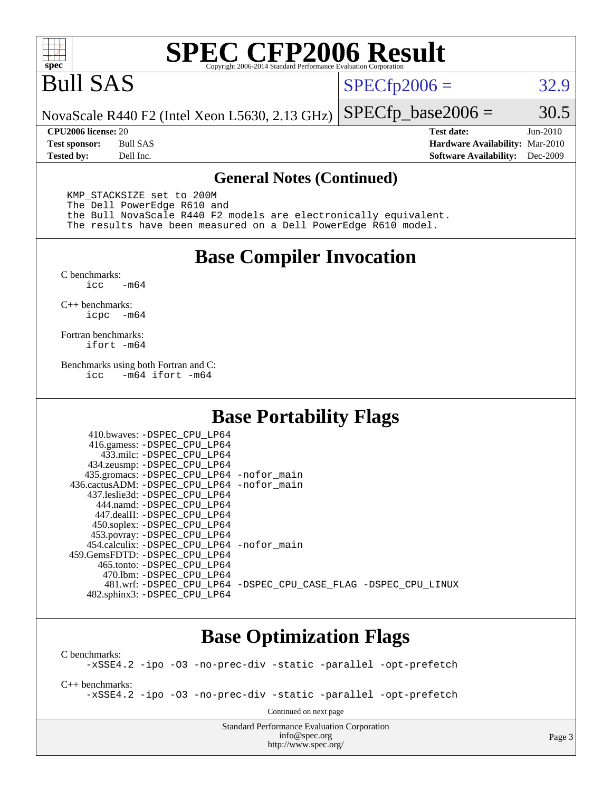

# **[SPEC CFP2006 Result](http://www.spec.org/auto/cpu2006/Docs/result-fields.html#SPECCFP2006Result)**

## Bull SAS

 $SPECfp2006 = 32.9$  $SPECfp2006 = 32.9$ 

NovaScale R440 F2 (Intel Xeon L5630, 2.13 GHz)  $SPECTp\_base2006 = 30.5$ 

**[CPU2006 license:](http://www.spec.org/auto/cpu2006/Docs/result-fields.html#CPU2006license)** 20 **[Test date:](http://www.spec.org/auto/cpu2006/Docs/result-fields.html#Testdate)** Jun-2010 **[Test sponsor:](http://www.spec.org/auto/cpu2006/Docs/result-fields.html#Testsponsor)** Bull SAS **[Hardware Availability:](http://www.spec.org/auto/cpu2006/Docs/result-fields.html#HardwareAvailability)** Mar-2010 **[Tested by:](http://www.spec.org/auto/cpu2006/Docs/result-fields.html#Testedby)** Dell Inc. **[Software Availability:](http://www.spec.org/auto/cpu2006/Docs/result-fields.html#SoftwareAvailability)** Dec-2009

#### **[General Notes \(Continued\)](http://www.spec.org/auto/cpu2006/Docs/result-fields.html#GeneralNotes)**

 KMP\_STACKSIZE set to 200M The Dell PowerEdge R610 and the Bull NovaScale R440 F2 models are electronically equivalent. The results have been measured on a Dell PowerEdge R610 model.

#### **[Base Compiler Invocation](http://www.spec.org/auto/cpu2006/Docs/result-fields.html#BaseCompilerInvocation)**

 $C$  benchmarks:<br>icc  $-m64$ 

[C++ benchmarks:](http://www.spec.org/auto/cpu2006/Docs/result-fields.html#CXXbenchmarks) [icpc -m64](http://www.spec.org/cpu2006/results/res2010q3/cpu2006-20100706-12215.flags.html#user_CXXbase_intel_icpc_64bit_bedb90c1146cab66620883ef4f41a67e)

[Fortran benchmarks](http://www.spec.org/auto/cpu2006/Docs/result-fields.html#Fortranbenchmarks): [ifort -m64](http://www.spec.org/cpu2006/results/res2010q3/cpu2006-20100706-12215.flags.html#user_FCbase_intel_ifort_64bit_ee9d0fb25645d0210d97eb0527dcc06e)

[Benchmarks using both Fortran and C](http://www.spec.org/auto/cpu2006/Docs/result-fields.html#BenchmarksusingbothFortranandC): [icc -m64](http://www.spec.org/cpu2006/results/res2010q3/cpu2006-20100706-12215.flags.html#user_CC_FCbase_intel_icc_64bit_0b7121f5ab7cfabee23d88897260401c) [ifort -m64](http://www.spec.org/cpu2006/results/res2010q3/cpu2006-20100706-12215.flags.html#user_CC_FCbase_intel_ifort_64bit_ee9d0fb25645d0210d97eb0527dcc06e)

### **[Base Portability Flags](http://www.spec.org/auto/cpu2006/Docs/result-fields.html#BasePortabilityFlags)**

| 435.gromacs: -DSPEC_CPU_LP64 -nofor_main                       |
|----------------------------------------------------------------|
| 436.cactusADM: - DSPEC CPU LP64 - nofor main                   |
|                                                                |
|                                                                |
|                                                                |
|                                                                |
|                                                                |
| 454.calculix: - DSPEC CPU LP64 - nofor main                    |
|                                                                |
|                                                                |
|                                                                |
| 481.wrf: -DSPEC CPU_LP64 -DSPEC_CPU_CASE_FLAG -DSPEC_CPU_LINUX |
|                                                                |
|                                                                |

### **[Base Optimization Flags](http://www.spec.org/auto/cpu2006/Docs/result-fields.html#BaseOptimizationFlags)**

[C benchmarks](http://www.spec.org/auto/cpu2006/Docs/result-fields.html#Cbenchmarks): [-xSSE4.2](http://www.spec.org/cpu2006/results/res2010q3/cpu2006-20100706-12215.flags.html#user_CCbase_f-xSSE42_f91528193cf0b216347adb8b939d4107) [-ipo](http://www.spec.org/cpu2006/results/res2010q3/cpu2006-20100706-12215.flags.html#user_CCbase_f-ipo) [-O3](http://www.spec.org/cpu2006/results/res2010q3/cpu2006-20100706-12215.flags.html#user_CCbase_f-O3) [-no-prec-div](http://www.spec.org/cpu2006/results/res2010q3/cpu2006-20100706-12215.flags.html#user_CCbase_f-no-prec-div) [-static](http://www.spec.org/cpu2006/results/res2010q3/cpu2006-20100706-12215.flags.html#user_CCbase_f-static) [-parallel](http://www.spec.org/cpu2006/results/res2010q3/cpu2006-20100706-12215.flags.html#user_CCbase_f-parallel) [-opt-prefetch](http://www.spec.org/cpu2006/results/res2010q3/cpu2006-20100706-12215.flags.html#user_CCbase_f-opt-prefetch) [C++ benchmarks:](http://www.spec.org/auto/cpu2006/Docs/result-fields.html#CXXbenchmarks) [-xSSE4.2](http://www.spec.org/cpu2006/results/res2010q3/cpu2006-20100706-12215.flags.html#user_CXXbase_f-xSSE42_f91528193cf0b216347adb8b939d4107) [-ipo](http://www.spec.org/cpu2006/results/res2010q3/cpu2006-20100706-12215.flags.html#user_CXXbase_f-ipo) [-O3](http://www.spec.org/cpu2006/results/res2010q3/cpu2006-20100706-12215.flags.html#user_CXXbase_f-O3) [-no-prec-div](http://www.spec.org/cpu2006/results/res2010q3/cpu2006-20100706-12215.flags.html#user_CXXbase_f-no-prec-div) [-static](http://www.spec.org/cpu2006/results/res2010q3/cpu2006-20100706-12215.flags.html#user_CXXbase_f-static) [-parallel](http://www.spec.org/cpu2006/results/res2010q3/cpu2006-20100706-12215.flags.html#user_CXXbase_f-parallel) [-opt-prefetch](http://www.spec.org/cpu2006/results/res2010q3/cpu2006-20100706-12215.flags.html#user_CXXbase_f-opt-prefetch) Continued on next page

> Standard Performance Evaluation Corporation [info@spec.org](mailto:info@spec.org) <http://www.spec.org/>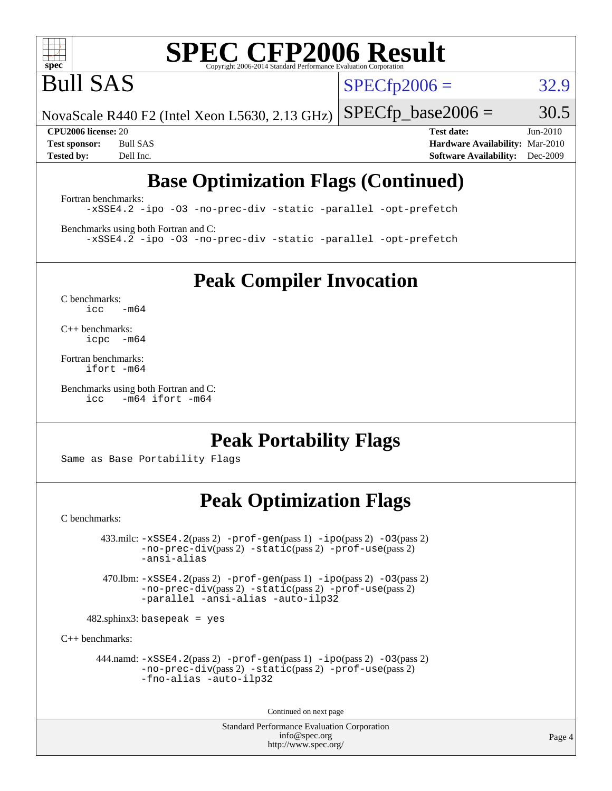

# **[SPEC CFP2006 Result](http://www.spec.org/auto/cpu2006/Docs/result-fields.html#SPECCFP2006Result)**

Bull SAS

 $SPECTp2006 = 32.9$ 

NovaScale R440 F2 (Intel Xeon L5630, 2.13 GHz)

 $SPECTp\_base2006 = 30.5$ 

**[CPU2006 license:](http://www.spec.org/auto/cpu2006/Docs/result-fields.html#CPU2006license)** 20 **[Test date:](http://www.spec.org/auto/cpu2006/Docs/result-fields.html#Testdate)** Jun-2010 **[Test sponsor:](http://www.spec.org/auto/cpu2006/Docs/result-fields.html#Testsponsor)** Bull SAS **[Hardware Availability:](http://www.spec.org/auto/cpu2006/Docs/result-fields.html#HardwareAvailability)** Mar-2010 **[Tested by:](http://www.spec.org/auto/cpu2006/Docs/result-fields.html#Testedby)** Dell Inc. **[Software Availability:](http://www.spec.org/auto/cpu2006/Docs/result-fields.html#SoftwareAvailability)** Dec-2009

## **[Base Optimization Flags \(Continued\)](http://www.spec.org/auto/cpu2006/Docs/result-fields.html#BaseOptimizationFlags)**

[Fortran benchmarks](http://www.spec.org/auto/cpu2006/Docs/result-fields.html#Fortranbenchmarks): [-xSSE4.2](http://www.spec.org/cpu2006/results/res2010q3/cpu2006-20100706-12215.flags.html#user_FCbase_f-xSSE42_f91528193cf0b216347adb8b939d4107) [-ipo](http://www.spec.org/cpu2006/results/res2010q3/cpu2006-20100706-12215.flags.html#user_FCbase_f-ipo) [-O3](http://www.spec.org/cpu2006/results/res2010q3/cpu2006-20100706-12215.flags.html#user_FCbase_f-O3) [-no-prec-div](http://www.spec.org/cpu2006/results/res2010q3/cpu2006-20100706-12215.flags.html#user_FCbase_f-no-prec-div) [-static](http://www.spec.org/cpu2006/results/res2010q3/cpu2006-20100706-12215.flags.html#user_FCbase_f-static) [-parallel](http://www.spec.org/cpu2006/results/res2010q3/cpu2006-20100706-12215.flags.html#user_FCbase_f-parallel) [-opt-prefetch](http://www.spec.org/cpu2006/results/res2010q3/cpu2006-20100706-12215.flags.html#user_FCbase_f-opt-prefetch)

[Benchmarks using both Fortran and C](http://www.spec.org/auto/cpu2006/Docs/result-fields.html#BenchmarksusingbothFortranandC): [-xSSE4.2](http://www.spec.org/cpu2006/results/res2010q3/cpu2006-20100706-12215.flags.html#user_CC_FCbase_f-xSSE42_f91528193cf0b216347adb8b939d4107) [-ipo](http://www.spec.org/cpu2006/results/res2010q3/cpu2006-20100706-12215.flags.html#user_CC_FCbase_f-ipo) [-O3](http://www.spec.org/cpu2006/results/res2010q3/cpu2006-20100706-12215.flags.html#user_CC_FCbase_f-O3) [-no-prec-div](http://www.spec.org/cpu2006/results/res2010q3/cpu2006-20100706-12215.flags.html#user_CC_FCbase_f-no-prec-div) [-static](http://www.spec.org/cpu2006/results/res2010q3/cpu2006-20100706-12215.flags.html#user_CC_FCbase_f-static) [-parallel](http://www.spec.org/cpu2006/results/res2010q3/cpu2006-20100706-12215.flags.html#user_CC_FCbase_f-parallel) [-opt-prefetch](http://www.spec.org/cpu2006/results/res2010q3/cpu2006-20100706-12215.flags.html#user_CC_FCbase_f-opt-prefetch)

**[Peak Compiler Invocation](http://www.spec.org/auto/cpu2006/Docs/result-fields.html#PeakCompilerInvocation)**

[C benchmarks](http://www.spec.org/auto/cpu2006/Docs/result-fields.html#Cbenchmarks):  $icc$   $-m64$ 

[C++ benchmarks:](http://www.spec.org/auto/cpu2006/Docs/result-fields.html#CXXbenchmarks) [icpc -m64](http://www.spec.org/cpu2006/results/res2010q3/cpu2006-20100706-12215.flags.html#user_CXXpeak_intel_icpc_64bit_bedb90c1146cab66620883ef4f41a67e)

[Fortran benchmarks](http://www.spec.org/auto/cpu2006/Docs/result-fields.html#Fortranbenchmarks): [ifort -m64](http://www.spec.org/cpu2006/results/res2010q3/cpu2006-20100706-12215.flags.html#user_FCpeak_intel_ifort_64bit_ee9d0fb25645d0210d97eb0527dcc06e)

[Benchmarks using both Fortran and C](http://www.spec.org/auto/cpu2006/Docs/result-fields.html#BenchmarksusingbothFortranandC): [icc -m64](http://www.spec.org/cpu2006/results/res2010q3/cpu2006-20100706-12215.flags.html#user_CC_FCpeak_intel_icc_64bit_0b7121f5ab7cfabee23d88897260401c) [ifort -m64](http://www.spec.org/cpu2006/results/res2010q3/cpu2006-20100706-12215.flags.html#user_CC_FCpeak_intel_ifort_64bit_ee9d0fb25645d0210d97eb0527dcc06e)

**[Peak Portability Flags](http://www.spec.org/auto/cpu2006/Docs/result-fields.html#PeakPortabilityFlags)**

Same as Base Portability Flags

### **[Peak Optimization Flags](http://www.spec.org/auto/cpu2006/Docs/result-fields.html#PeakOptimizationFlags)**

[C benchmarks](http://www.spec.org/auto/cpu2006/Docs/result-fields.html#Cbenchmarks):

 $433 \text{.}$ milc:  $-xSSE4$ .  $2(pass 2)$  - $prof-gen(pass 1)$  - $ipo(pass 2)$  [-O3](http://www.spec.org/cpu2006/results/res2010q3/cpu2006-20100706-12215.flags.html#user_peakPASS2_CFLAGSPASS2_LDFLAGS433_milc_f-O3) $(pass 2)$ [-no-prec-div](http://www.spec.org/cpu2006/results/res2010q3/cpu2006-20100706-12215.flags.html#user_peakPASS2_CFLAGSPASS2_LDFLAGS433_milc_f-no-prec-div)(pass 2) [-static](http://www.spec.org/cpu2006/results/res2010q3/cpu2006-20100706-12215.flags.html#user_peakPASS2_CFLAGSPASS2_LDFLAGS433_milc_f-static)(pass 2) [-prof-use](http://www.spec.org/cpu2006/results/res2010q3/cpu2006-20100706-12215.flags.html#user_peakPASS2_CFLAGSPASS2_LDFLAGS433_milc_prof_use_bccf7792157ff70d64e32fe3e1250b55)(pass 2) [-ansi-alias](http://www.spec.org/cpu2006/results/res2010q3/cpu2006-20100706-12215.flags.html#user_peakOPTIMIZE433_milc_f-ansi-alias)

 470.lbm: [-xSSE4.2](http://www.spec.org/cpu2006/results/res2010q3/cpu2006-20100706-12215.flags.html#user_peakPASS2_CFLAGSPASS2_LDFLAGS470_lbm_f-xSSE42_f91528193cf0b216347adb8b939d4107)(pass 2) [-prof-gen](http://www.spec.org/cpu2006/results/res2010q3/cpu2006-20100706-12215.flags.html#user_peakPASS1_CFLAGSPASS1_LDFLAGS470_lbm_prof_gen_e43856698f6ca7b7e442dfd80e94a8fc)(pass 1) [-ipo](http://www.spec.org/cpu2006/results/res2010q3/cpu2006-20100706-12215.flags.html#user_peakPASS2_CFLAGSPASS2_LDFLAGS470_lbm_f-ipo)(pass 2) [-O3](http://www.spec.org/cpu2006/results/res2010q3/cpu2006-20100706-12215.flags.html#user_peakPASS2_CFLAGSPASS2_LDFLAGS470_lbm_f-O3)(pass 2) [-no-prec-div](http://www.spec.org/cpu2006/results/res2010q3/cpu2006-20100706-12215.flags.html#user_peakPASS2_CFLAGSPASS2_LDFLAGS470_lbm_f-no-prec-div)(pass 2) [-static](http://www.spec.org/cpu2006/results/res2010q3/cpu2006-20100706-12215.flags.html#user_peakPASS2_CFLAGSPASS2_LDFLAGS470_lbm_f-static)(pass 2) [-prof-use](http://www.spec.org/cpu2006/results/res2010q3/cpu2006-20100706-12215.flags.html#user_peakPASS2_CFLAGSPASS2_LDFLAGS470_lbm_prof_use_bccf7792157ff70d64e32fe3e1250b55)(pass 2) [-parallel](http://www.spec.org/cpu2006/results/res2010q3/cpu2006-20100706-12215.flags.html#user_peakOPTIMIZE470_lbm_f-parallel) [-ansi-alias](http://www.spec.org/cpu2006/results/res2010q3/cpu2006-20100706-12215.flags.html#user_peakOPTIMIZE470_lbm_f-ansi-alias) [-auto-ilp32](http://www.spec.org/cpu2006/results/res2010q3/cpu2006-20100706-12215.flags.html#user_peakCOPTIMIZE470_lbm_f-auto-ilp32)

 $482$ .sphinx $3$ : basepeak = yes

[C++ benchmarks:](http://www.spec.org/auto/cpu2006/Docs/result-fields.html#CXXbenchmarks)

 444.namd: [-xSSE4.2](http://www.spec.org/cpu2006/results/res2010q3/cpu2006-20100706-12215.flags.html#user_peakPASS2_CXXFLAGSPASS2_LDFLAGS444_namd_f-xSSE42_f91528193cf0b216347adb8b939d4107)(pass 2) [-prof-gen](http://www.spec.org/cpu2006/results/res2010q3/cpu2006-20100706-12215.flags.html#user_peakPASS1_CXXFLAGSPASS1_LDFLAGS444_namd_prof_gen_e43856698f6ca7b7e442dfd80e94a8fc)(pass 1) [-ipo](http://www.spec.org/cpu2006/results/res2010q3/cpu2006-20100706-12215.flags.html#user_peakPASS2_CXXFLAGSPASS2_LDFLAGS444_namd_f-ipo)(pass 2) [-O3](http://www.spec.org/cpu2006/results/res2010q3/cpu2006-20100706-12215.flags.html#user_peakPASS2_CXXFLAGSPASS2_LDFLAGS444_namd_f-O3)(pass 2) [-no-prec-div](http://www.spec.org/cpu2006/results/res2010q3/cpu2006-20100706-12215.flags.html#user_peakPASS2_CXXFLAGSPASS2_LDFLAGS444_namd_f-no-prec-div)(pass 2) [-static](http://www.spec.org/cpu2006/results/res2010q3/cpu2006-20100706-12215.flags.html#user_peakPASS2_CXXFLAGSPASS2_LDFLAGS444_namd_f-static)(pass 2) [-prof-use](http://www.spec.org/cpu2006/results/res2010q3/cpu2006-20100706-12215.flags.html#user_peakPASS2_CXXFLAGSPASS2_LDFLAGS444_namd_prof_use_bccf7792157ff70d64e32fe3e1250b55)(pass 2) [-fno-alias](http://www.spec.org/cpu2006/results/res2010q3/cpu2006-20100706-12215.flags.html#user_peakOPTIMIZE444_namd_f-no-alias_694e77f6c5a51e658e82ccff53a9e63a) [-auto-ilp32](http://www.spec.org/cpu2006/results/res2010q3/cpu2006-20100706-12215.flags.html#user_peakCXXOPTIMIZE444_namd_f-auto-ilp32)

Continued on next page

Standard Performance Evaluation Corporation [info@spec.org](mailto:info@spec.org) <http://www.spec.org/>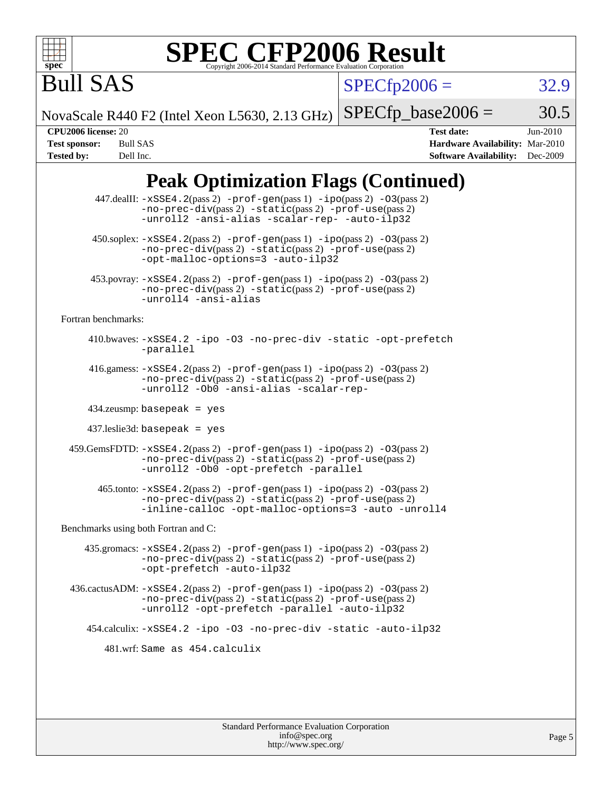

# **[SPEC CFP2006 Result](http://www.spec.org/auto/cpu2006/Docs/result-fields.html#SPECCFP2006Result)**

 $SPECfp2006 = 32.9$  $SPECfp2006 = 32.9$ 

NovaScale R440 F2 (Intel Xeon L5630, 2.13 GHz)

 $SPECTp\_base2006 = 30.5$ 

Bull SAS

**[CPU2006 license:](http://www.spec.org/auto/cpu2006/Docs/result-fields.html#CPU2006license)** 20 **[Test date:](http://www.spec.org/auto/cpu2006/Docs/result-fields.html#Testdate)** Jun-2010 **[Test sponsor:](http://www.spec.org/auto/cpu2006/Docs/result-fields.html#Testsponsor)** Bull SAS **[Hardware Availability:](http://www.spec.org/auto/cpu2006/Docs/result-fields.html#HardwareAvailability)** Mar-2010 **[Tested by:](http://www.spec.org/auto/cpu2006/Docs/result-fields.html#Testedby)** Dell Inc. **[Software Availability:](http://www.spec.org/auto/cpu2006/Docs/result-fields.html#SoftwareAvailability)** Dec-2009

## **[Peak Optimization Flags \(Continued\)](http://www.spec.org/auto/cpu2006/Docs/result-fields.html#PeakOptimizationFlags)**

|                                      | 447.dealII: -xSSE4.2(pass 2) -prof-gen(pass 1) -ipo(pass 2) -03(pass 2)<br>$-no-prec-div(pass 2) -static(pass 2) -prof-use(pass 2)$<br>-unroll2 -ansi-alias -scalar-rep- -auto-ilp32                                            |
|--------------------------------------|---------------------------------------------------------------------------------------------------------------------------------------------------------------------------------------------------------------------------------|
|                                      | 450.soplex: -xSSE4.2(pass 2) -prof-gen(pass 1) -ipo(pass 2) -03(pass 2)<br>-no-prec-div(pass 2) -static(pass 2) -prof-use(pass 2)<br>-opt-malloc-options=3 -auto-ilp32                                                          |
|                                      | $453.$ povray: $-xSSE4.2(pass2) -prof-gen(pass1) -ipo(pass2) -O3(pass2)$<br>$-no-prec-div(pass 2) -static(pass 2) -prof-use(pass 2)$<br>-unroll4 -ansi-alias                                                                    |
| Fortran benchmarks:                  |                                                                                                                                                                                                                                 |
|                                      | 410.bwaves: -xSSE4.2 -ipo -03 -no-prec-div -static -opt-prefetch<br>-parallel                                                                                                                                                   |
|                                      | 416.gamess: $-xSSE4$ . $2(pass 2)$ -prof-gen(pass 1) -ipo(pass 2) -03(pass 2)<br>-no-prec-div(pass 2) -static(pass 2) -prof-use(pass 2)<br>-unroll2 -Ob0 -ansi-alias -scalar-rep-                                               |
|                                      | $434$ .zeusmp: basepeak = yes                                                                                                                                                                                                   |
|                                      | $437$ leslie $3d$ : basepeak = yes                                                                                                                                                                                              |
|                                      | $459. \text{GemsFDTD: } -x\text{SSE4}.2(\text{pass 2}) - \text{prof-gen(pass 1)} - \text{ipo(pass 2)} - 03(\text{pass 2})$<br>$-no-prec-div(pass 2) -static(pass 2) -prof-use(pass 2)$<br>-unroll2 -Ob0 -opt-prefetch -parallel |
|                                      | $465$ .tonto: $-xSSE4$ . 2(pass 2) $-prof-gen(pass 1) -ipo(pass 2) -03(pass 2)$<br>-no-prec-div(pass 2) -static(pass 2) -prof-use(pass 2)<br>-inline-calloc -opt-malloc-options=3 -auto -unroll4                                |
| Benchmarks using both Fortran and C: |                                                                                                                                                                                                                                 |
|                                      | 435.gromacs: $-xSSE4$ . 2(pass 2) $-prof$ -gen(pass 1) $-ipo$ (pass 2) $-O3$ (pass 2)<br>-no-prec-div(pass 2) -static(pass 2) -prof-use(pass 2)<br>-opt-prefetch -auto-ilp32                                                    |
|                                      | $436.cactusADM: -xSSE4.2(pass 2) -prof-gen(pass 1) -ipo(pass 2) -03(pass 2)$<br>$-no-prec-div(pass 2) -static(pass 2) -prof-use(pass 2)$<br>-unroll2 -opt-prefetch -parallel -auto-ilp32                                        |
|                                      | 454.calculix: -xSSE4.2 -ipo -03 -no-prec-div -static -auto-ilp32                                                                                                                                                                |
|                                      | 481.wrf: Same as 454.calculix                                                                                                                                                                                                   |
|                                      |                                                                                                                                                                                                                                 |